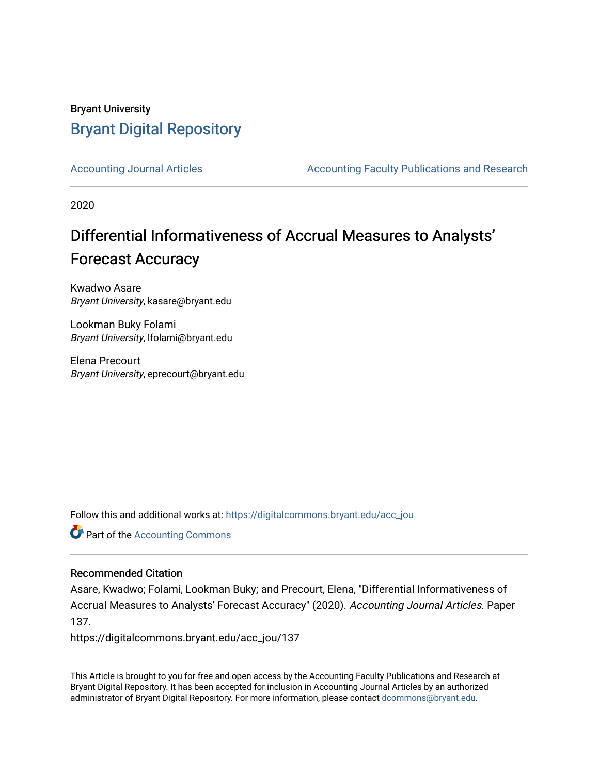## Bryant University [Bryant Digital Repository](https://digitalcommons.bryant.edu/)

[Accounting Journal Articles](https://digitalcommons.bryant.edu/acc_jou) **Accounting Faculty Publications and Research** Accounting Faculty Publications and Research

2020

# Differential Informativeness of Accrual Measures to Analysts' Forecast Accuracy

Kwadwo Asare Bryant University, kasare@bryant.edu

Lookman Buky Folami Bryant University, lfolami@bryant.edu

Elena Precourt Bryant University, eprecourt@bryant.edu

Follow this and additional works at: [https://digitalcommons.bryant.edu/acc\\_jou](https://digitalcommons.bryant.edu/acc_jou?utm_source=digitalcommons.bryant.edu%2Facc_jou%2F137&utm_medium=PDF&utm_campaign=PDFCoverPages)

**C** Part of the [Accounting Commons](http://network.bepress.com/hgg/discipline/625?utm_source=digitalcommons.bryant.edu%2Facc_jou%2F137&utm_medium=PDF&utm_campaign=PDFCoverPages)

#### Recommended Citation

Asare, Kwadwo; Folami, Lookman Buky; and Precourt, Elena, "Differential Informativeness of Accrual Measures to Analysts' Forecast Accuracy" (2020). Accounting Journal Articles. Paper 137.

https://digitalcommons.bryant.edu/acc\_jou/137

This Article is brought to you for free and open access by the Accounting Faculty Publications and Research at Bryant Digital Repository. It has been accepted for inclusion in Accounting Journal Articles by an authorized administrator of Bryant Digital Repository. For more information, please contact [dcommons@bryant.edu](mailto:dcommons@bryant.edu).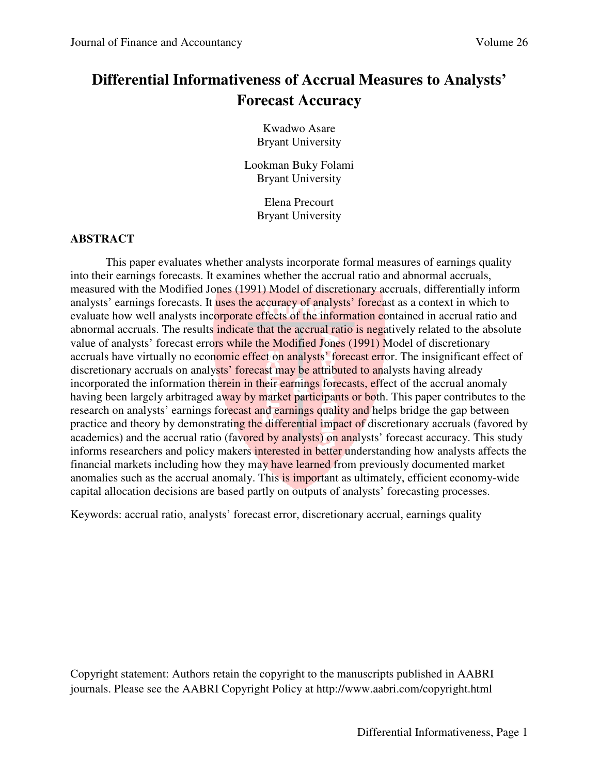## **Differential Informativeness of Accrual Measures to Analysts' Forecast Accuracy**

Kwadwo Asare Bryant University

Lookman Buky Folami Bryant University

> Elena Precourt Bryant University

#### **ABSTRACT**

This paper evaluates whether analysts incorporate formal measures of earnings quality into their earnings forecasts. It examines whether the accrual ratio and abnormal accruals, measured with the Modified Jones (1991) Model of discretionary accruals, differentially inform analysts' earnings forecasts. It uses the accuracy of analysts' forecast as a context in which to evaluate how well analysts incorporate effects of the information contained in accrual ratio and abnormal accruals. The results indicate that the accrual ratio is negatively related to the absolute value of analysts' forecast errors while the Modified Jones (1991) Model of discretionary accruals have virtually no economic effect on analysts' forecast error. The insignificant effect of discretionary accruals on analysts' forecast may be attributed to analysts having already incorporated the information therein in their earnings forecasts, effect of the accrual anomaly having been largely arbitraged away by market participants or both. This paper contributes to the research on analysts' earnings forecast and earnings quality and helps bridge the gap between practice and theory by demonstrating the differential impact of discretionary accruals (favored by academics) and the accrual ratio (favored by analysts) on analysts' forecast accuracy. This study informs researchers and policy makers interested in better understanding how analysts affects the financial markets including how they may have learned from previously documented market anomalies such as the accrual anomaly. This is important as ultimately, efficient economy-wide capital allocation decisions are based partly on outputs of analysts' forecasting processes.

Keywords: accrual ratio, analysts' forecast error, discretionary accrual, earnings quality

Copyright statement: Authors retain the copyright to the manuscripts published in AABRI journals. Please see the AABRI Copyright Policy at http://www.aabri.com/copyright.html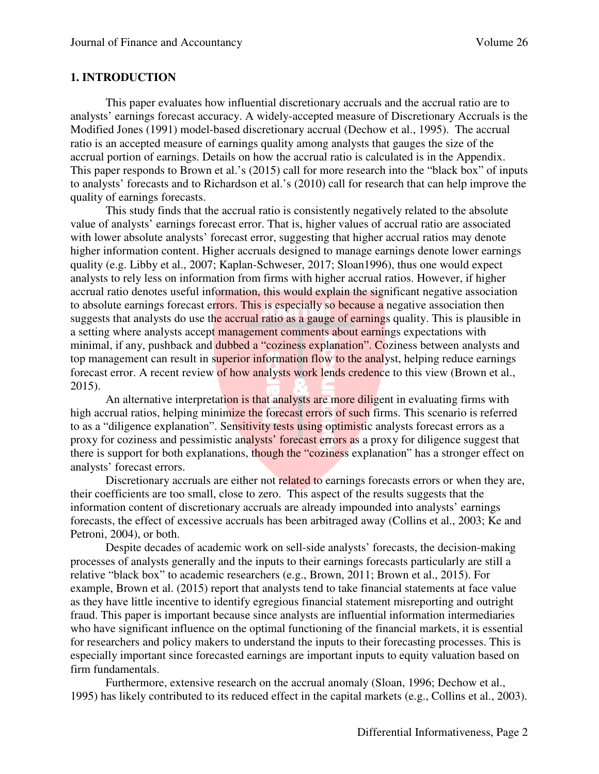#### **1. INTRODUCTION**

This paper evaluates how influential discretionary accruals and the accrual ratio are to analysts' earnings forecast accuracy. A widely-accepted measure of Discretionary Accruals is the Modified Jones (1991) model-based discretionary accrual (Dechow et al., 1995). The accrual ratio is an accepted measure of earnings quality among analysts that gauges the size of the accrual portion of earnings. Details on how the accrual ratio is calculated is in the Appendix. This paper responds to Brown et al.'s (2015) call for more research into the "black box" of inputs to analysts' forecasts and to Richardson et al.'s (2010) call for research that can help improve the quality of earnings forecasts.

This study finds that the accrual ratio is consistently negatively related to the absolute value of analysts' earnings forecast error. That is, higher values of accrual ratio are associated with lower absolute analysts' forecast error, suggesting that higher accrual ratios may denote higher information content. Higher accruals designed to manage earnings denote lower earnings quality (e.g. Libby et al., 2007; Kaplan-Schweser, 2017; Sloan1996), thus one would expect analysts to rely less on information from firms with higher accrual ratios. However, if higher accrual ratio denotes useful information, this would explain the significant negative association to absolute earnings forecast errors. This is especially so because a negative association then suggests that analysts do use the accrual ratio as a gauge of earnings quality. This is plausible in a setting where analysts accept management comments about earnings expectations with minimal, if any, pushback and **dubbed a "coziness explanation".** Coziness between analysts and top management can result in superior information flow to the analyst, helping reduce earnings forecast error. A recent review of how analysts work lends credence to this view (Brown et al., 2015).

An alternative interpretation is that analysts are more diligent in evaluating firms with high accrual ratios, helping minimize the forecast errors of such firms. This scenario is referred to as a "diligence explanation". Sensitivity tests using optimistic analysts forecast errors as a proxy for coziness and pessimistic analysts' forecast errors as a proxy for diligence suggest that there is support for both explanations, though the "coziness explanation" has a stronger effect on analysts' forecast errors.

Discretionary accruals are either not related to earnings forecasts errors or when they are, their coefficients are too small, close to zero. This aspect of the results suggests that the information content of discretionary accruals are already impounded into analysts' earnings forecasts, the effect of excessive accruals has been arbitraged away (Collins et al., 2003; Ke and Petroni, 2004), or both.

Despite decades of academic work on sell-side analysts' forecasts, the decision-making processes of analysts generally and the inputs to their earnings forecasts particularly are still a relative "black box" to academic researchers (e.g., Brown, 2011; Brown et al., 2015). For example, Brown et al. (2015) report that analysts tend to take financial statements at face value as they have little incentive to identify egregious financial statement misreporting and outright fraud. This paper is important because since analysts are influential information intermediaries who have significant influence on the optimal functioning of the financial markets, it is essential for researchers and policy makers to understand the inputs to their forecasting processes. This is especially important since forecasted earnings are important inputs to equity valuation based on firm fundamentals.

Furthermore, extensive research on the accrual anomaly (Sloan, 1996; Dechow et al., 1995) has likely contributed to its reduced effect in the capital markets (e.g., Collins et al., 2003).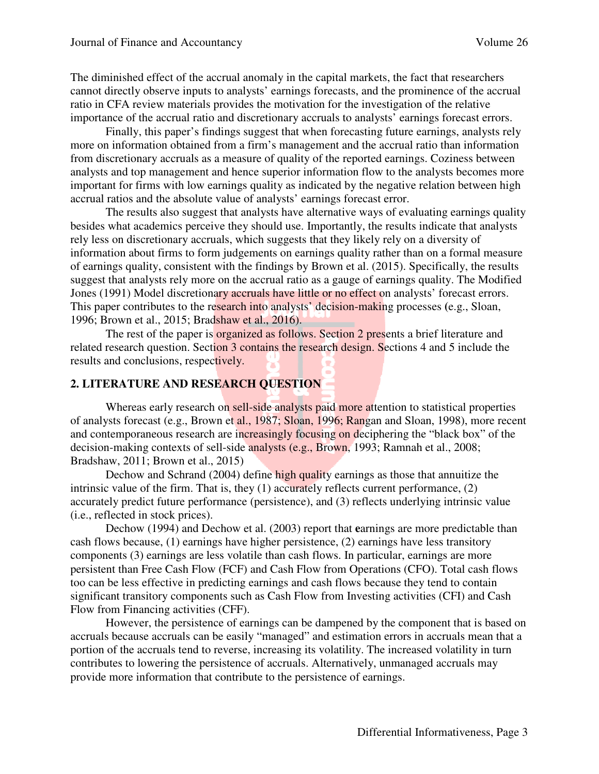The diminished effect of the accrual anomaly in the capital markets, the fact that researchers cannot directly observe inputs to analysts' earnings forecasts, and the prominence of the accrual ratio in CFA review materials provides the motivation for the investigation of the relative importance of the accrual ratio and discretionary accruals to analysts' earnings forecast errors.

Finally, this paper's findings suggest that when forecasting future earnings, analysts rely more on information obtained from a firm's management and the accrual ratio than information from discretionary accruals as a measure of quality of the reported earnings. Coziness between analysts and top management and hence superior information flow to the analysts becomes more important for firms with low earnings quality as indicated by the negative relation between high accrual ratios and the absolute value of analysts' earnings forecast error.

The results also suggest that analysts have alternative ways of evaluating earnings quality besides what academics perceive they should use. Importantly, the results indicate that analysts rely less on discretionary accruals, which suggests that they likely rely on a diversity of information about firms to form judgements on earnings quality rather than on a formal measure of earnings quality, consistent with the findings by Brown et al. (2015). Specifically, the results suggest that analysts rely more on the accrual ratio as a gauge of earnings quality. The Modified Jones (1991) Model discretionary accruals have little or no effect on analysts' forecast errors. This paper contributes to the research into analysts' decision-making processes **(**e.g., Sloan, 1996; Brown et al., 2015; Bradshaw et al., 2016).

The rest of the paper is **organized as follows.** Section 2 presents a brief literature and related research question. Section 3 contains the research design. Sections 4 and 5 include the results and conclusions, respectively.

#### **2. LITERATURE AND RESEARCH QUESTION**

Whereas early research on sell-side analysts paid more attention to statistical properties of analysts forecast (e.g., Brown et al., 1987; Sloan, 1996; Rangan and Sloan, 1998), more recent and contemporaneous research are increasingly focusing on deciphering the "black box" of the decision-making contexts of sell-side analysts (e.g., Brown, 1993; Ramnah et al., 2008; Bradshaw, 2011; Brown et al., 2015)

Dechow and Schrand (2004) define high quality earnings as those that annuitize the intrinsic value of the firm. That is, they (1) accurately reflects current performance, (2) accurately predict future performance (persistence), and (3) reflects underlying intrinsic value (i.e., reflected in stock prices).

Dechow (1994) and Dechow et al. (2003) report that **e**arnings are more predictable than cash flows because, (1) earnings have higher persistence, (2) earnings have less transitory components (3) earnings are less volatile than cash flows. In particular, earnings are more persistent than Free Cash Flow (FCF) and Cash Flow from Operations (CFO). Total cash flows too can be less effective in predicting earnings and cash flows because they tend to contain significant transitory components such as Cash Flow from Investing activities (CFI) and Cash Flow from Financing activities (CFF).

However, the persistence of earnings can be dampened by the component that is based on accruals because accruals can be easily "managed" and estimation errors in accruals mean that a portion of the accruals tend to reverse, increasing its volatility. The increased volatility in turn contributes to lowering the persistence of accruals. Alternatively, unmanaged accruals may provide more information that contribute to the persistence of earnings.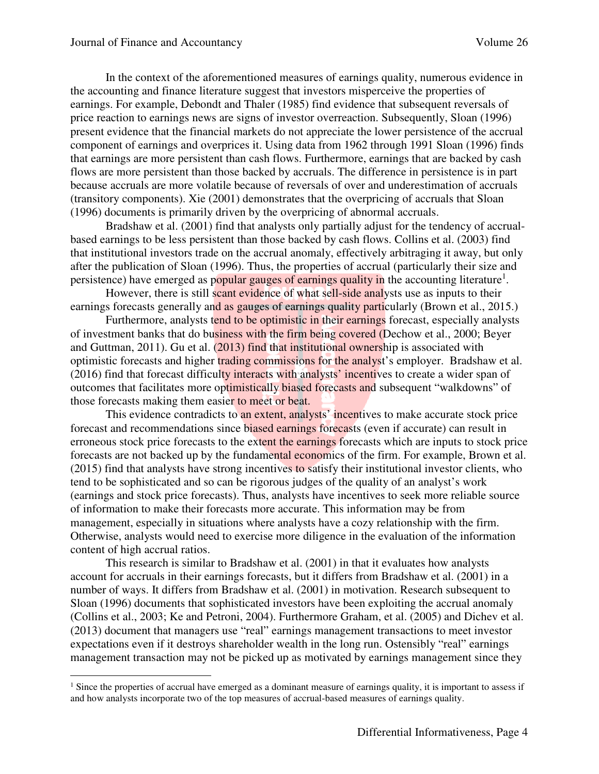$\overline{a}$ 

In the context of the aforementioned measures of earnings quality, numerous evidence in the accounting and finance literature suggest that investors misperceive the properties of earnings. For example, Debondt and Thaler (1985) find evidence that subsequent reversals of price reaction to earnings news are signs of investor overreaction. Subsequently, Sloan (1996) present evidence that the financial markets do not appreciate the lower persistence of the accrual component of earnings and overprices it. Using data from 1962 through 1991 Sloan (1996) finds that earnings are more persistent than cash flows. Furthermore, earnings that are backed by cash flows are more persistent than those backed by accruals. The difference in persistence is in part because accruals are more volatile because of reversals of over and underestimation of accruals (transitory components). Xie (2001) demonstrates that the overpricing of accruals that Sloan (1996) documents is primarily driven by the overpricing of abnormal accruals.

Bradshaw et al. (2001) find that analysts only partially adjust for the tendency of accrualbased earnings to be less persistent than those backed by cash flows. Collins et al. (2003) find that institutional investors trade on the accrual anomaly, effectively arbitraging it away, but only after the publication of Sloan (1996). Thus, the properties of accrual (particularly their size and persistence) have emerged as popular gauges of earnings quality in the accounting literature<sup>1</sup>.

However, there is still scant evidence of what sell-side analysts use as inputs to their earnings forecasts generally and as gauges of earnings quality particularly (Brown et al., 2015.)

Furthermore, analysts tend to be optimistic in their earnings forecast, especially analysts of investment banks that do business with the firm being covered (Dechow et al., 2000; Beyer and Guttman, 2011). Gu et al. (2013) find that institutional ownership is associated with optimistic forecasts and higher trading commissions for the analyst's employer. Bradshaw et al. (2016) find that forecast difficulty interacts with analysts' incentives to create a wider span of outcomes that facilitates more optimistically biased forecasts and subsequent "walkdowns" of those forecasts making them easier to meet or beat.

This evidence contradicts to an extent, analysts' incentives to make accurate stock price forecast and recommendations since biased earnings forecasts (even if accurate) can result in erroneous stock price forecasts to the extent the earnings forecasts which are inputs to stock price forecasts are not backed up by the fundamental economics of the firm. For example, Brown et al. (2015) find that analysts have strong incentives to satisfy their institutional investor clients, who tend to be sophisticated and so can be rigorous judges of the quality of an analyst's work (earnings and stock price forecasts). Thus, analysts have incentives to seek more reliable source of information to make their forecasts more accurate. This information may be from management, especially in situations where analysts have a cozy relationship with the firm. Otherwise, analysts would need to exercise more diligence in the evaluation of the information content of high accrual ratios.

This research is similar to Bradshaw et al. (2001) in that it evaluates how analysts account for accruals in their earnings forecasts, but it differs from Bradshaw et al. (2001) in a number of ways. It differs from Bradshaw et al. (2001) in motivation. Research subsequent to Sloan (1996) documents that sophisticated investors have been exploiting the accrual anomaly (Collins et al., 2003; Ke and Petroni, 2004). Furthermore Graham, et al. (2005) and Dichev et al. (2013) document that managers use "real" earnings management transactions to meet investor expectations even if it destroys shareholder wealth in the long run. Ostensibly "real" earnings management transaction may not be picked up as motivated by earnings management since they

 $<sup>1</sup>$  Since the properties of accrual have emerged as a dominant measure of earnings quality, it is important to assess if</sup> and how analysts incorporate two of the top measures of accrual-based measures of earnings quality.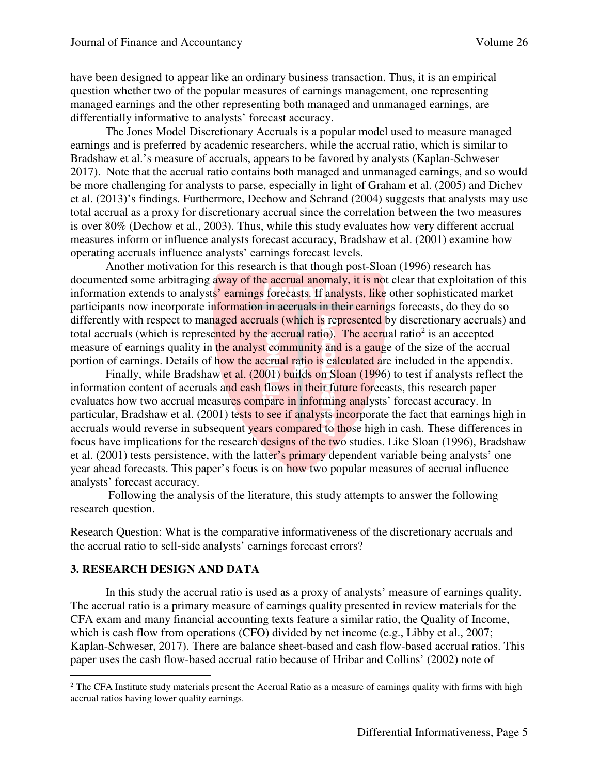have been designed to appear like an ordinary business transaction. Thus, it is an empirical question whether two of the popular measures of earnings management, one representing managed earnings and the other representing both managed and unmanaged earnings, are differentially informative to analysts' forecast accuracy.

 The Jones Model Discretionary Accruals is a popular model used to measure managed earnings and is preferred by academic researchers, while the accrual ratio, which is similar to Bradshaw et al.'s measure of accruals, appears to be favored by analysts (Kaplan-Schweser 2017). Note that the accrual ratio contains both managed and unmanaged earnings, and so would be more challenging for analysts to parse, especially in light of Graham et al. (2005) and Dichev et al. (2013)'s findings. Furthermore, Dechow and Schrand (2004) suggests that analysts may use total accrual as a proxy for discretionary accrual since the correlation between the two measures is over 80% (Dechow et al., 2003). Thus, while this study evaluates how very different accrual measures inform or influence analysts forecast accuracy, Bradshaw et al. (2001) examine how operating accruals influence analysts' earnings forecast levels.

 Another motivation for this research is that though post-Sloan (1996) research has documented some arbitraging away of the accrual anomaly, it is not clear that exploitation of this information extends to analysts' earnings forecasts. If analysts, like other sophisticated market participants now incorporate information in accruals in their earnings forecasts, do they do so differently with respect to managed accruals (which is represented by discretionary accruals) and total accruals (which is represented by the accrual ratio). The accrual ratio<sup>2</sup> is an accepted measure of earnings quality in the analyst community and is a gauge of the size of the accrual portion of earnings. Details of how the accrual ratio is calculated are included in the appendix.

Finally, while Bradshaw et al. (2001) builds on Sloan (1996) to test if analysts reflect the information content of accruals and cash flows in their future forecasts, this research paper evaluates how two accrual measures compare in informing analysts' forecast accuracy. In particular, Bradshaw et al. (2001) tests to see if analysts incorporate the fact that earnings high in accruals would reverse in subsequent years compared to those high in cash. These differences in focus have implications for the research designs of the two studies. Like Sloan (1996), Bradshaw et al. (2001) tests persistence, with the latter's primary dependent variable being analysts' one year ahead forecasts. This paper's focus is on how two popular measures of accrual influence analysts' forecast accuracy.

 Following the analysis of the literature, this study attempts to answer the following research question.

Research Question: What is the comparative informativeness of the discretionary accruals and the accrual ratio to sell-side analysts' earnings forecast errors?

#### **3. RESEARCH DESIGN AND DATA**

 $\overline{a}$ 

In this study the accrual ratio is used as a proxy of analysts' measure of earnings quality. The accrual ratio is a primary measure of earnings quality presented in review materials for the CFA exam and many financial accounting texts feature a similar ratio, the Quality of Income, which is cash flow from operations (CFO) divided by net income (e.g., Libby et al., 2007; Kaplan-Schweser, 2017). There are balance sheet-based and cash flow-based accrual ratios. This paper uses the cash flow-based accrual ratio because of Hribar and Collins' (2002) note of

 $2$  The CFA Institute study materials present the Accrual Ratio as a measure of earnings quality with firms with high accrual ratios having lower quality earnings.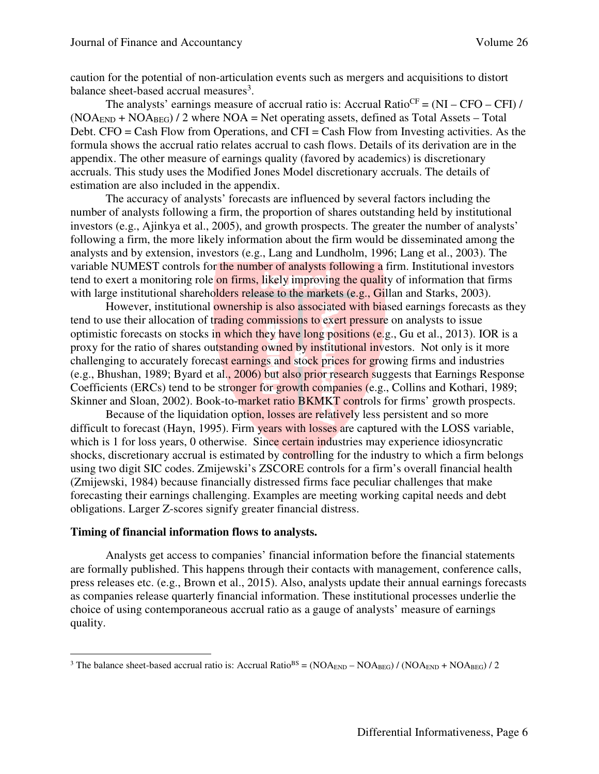caution for the potential of non-articulation events such as mergers and acquisitions to distort balance sheet-based accrual measures<sup>3</sup>.

The analysts' earnings measure of accrual ratio is: Accrual Ratio<sup>CF</sup> =  $(NI - CFO - CFI) /$  $(NOA<sub>END</sub> + NOA<sub>BEG</sub>)$  / 2 where  $NOA = Net$  operating assets, defined as Total Assets – Total Debt. CFO = Cash Flow from Operations, and CFI = Cash Flow from Investing activities. As the formula shows the accrual ratio relates accrual to cash flows. Details of its derivation are in the appendix. The other measure of earnings quality (favored by academics) is discretionary accruals. This study uses the Modified Jones Model discretionary accruals. The details of estimation are also included in the appendix.

The accuracy of analysts' forecasts are influenced by several factors including the number of analysts following a firm, the proportion of shares outstanding held by institutional investors (e.g., Ajinkya et al., 2005), and growth prospects. The greater the number of analysts' following a firm, the more likely information about the firm would be disseminated among the analysts and by extension, investors (e.g., Lang and Lundholm, 1996; Lang et al., 2003). The variable NUMEST controls for the number of analysts following a firm. Institutional investors tend to exert a monitoring role on firms, likely improving the quality of information that firms with large institutional shareholders release to the markets (e.g., Gillan and Starks, 2003).

However, institutional ownership is also associated with biased earnings forecasts as they tend to use their allocation of trading commissions to exert pressure on analysts to issue optimistic forecasts on stocks in which they have long positions (e.g., Gu et al., 2013). IOR is a proxy for the ratio of shares outstanding owned by institutional investors. Not only is it more challenging to accurately forecast earnings and stock prices for growing firms and industries (e.g., Bhushan, 1989; Byard et al., 2006) but also prior research suggests that Earnings Response Coefficients (ERCs) tend to be stronger for growth companies (e.g., Collins and Kothari, 1989; Skinner and Sloan, 2002). Book-to-market ratio BKMKT controls for firms' growth prospects.

Because of the liquidation option, losses are relatively less persistent and so more difficult to forecast (Hayn, 1995). Firm years with losses are captured with the LOSS variable, which is 1 for loss years, 0 otherwise. Since certain industries may experience idiosyncratic shocks, discretionary accrual is estimated by controlling for the industry to which a firm belongs using two digit SIC codes. Zmijewski's ZSCORE controls for a firm's overall financial health (Zmijewski, 1984) because financially distressed firms face peculiar challenges that make forecasting their earnings challenging. Examples are meeting working capital needs and debt obligations. Larger Z-scores signify greater financial distress.

#### **Timing of financial information flows to analysts.**

 $\overline{a}$ 

Analysts get access to companies' financial information before the financial statements are formally published. This happens through their contacts with management, conference calls, press releases etc. (e.g., Brown et al., 2015). Also, analysts update their annual earnings forecasts as companies release quarterly financial information. These institutional processes underlie the choice of using contemporaneous accrual ratio as a gauge of analysts' measure of earnings quality.

<sup>&</sup>lt;sup>3</sup> The balance sheet-based accrual ratio is: Accrual Ratio<sup>BS</sup> = (NOA<sub>END</sub> – NOA<sub>BEG</sub>) / (NOA<sub>END</sub> + NOA<sub>BEG</sub>) / 2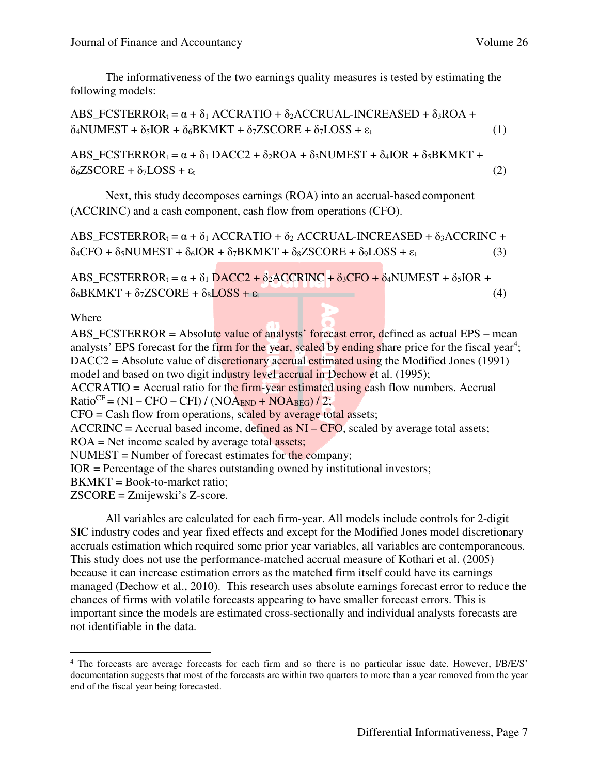The informativeness of the two earnings quality measures is tested by estimating the following models:

ABS FCSTERROR<sub>t</sub> =  $\alpha$  +  $\delta$ <sub>1</sub> ACCRATIO +  $\delta$ <sub>2</sub>ACCRUAL-INCREASED +  $\delta$ <sub>3</sub>ROA +  $\delta_4$ NUMEST +  $\delta_5$ IOR +  $\delta_6$ BKMKT +  $\delta_7$ ZSCORE +  $\delta_7$ LOSS +  $\varepsilon_t$  (1)

ABS\_FCSTERROR<sub>t</sub> =  $\alpha$  +  $\delta$ <sub>1</sub> DACC2 +  $\delta$ <sub>2</sub>ROA +  $\delta$ <sub>3</sub>NUMEST +  $\delta$ <sub>4</sub>IOR +  $\delta$ <sub>5</sub>BKMKT +  $\delta_6 \text{ZSCORE} + \delta_7 \text{LOSS} + \varepsilon_t$  (2)

Next, this study decomposes earnings (ROA) into an accrual-based component (ACCRINC) and a cash component, cash flow from operations (CFO).

ABS\_FCSTERROR<sub>t</sub> =  $\alpha$  +  $\delta$ <sub>1</sub> ACCRATIO +  $\delta$ <sub>2</sub> ACCRUAL-INCREASED +  $\delta$ <sub>3</sub>ACCRINC +  $\delta_4$ CFO +  $\delta_5$ NUMEST +  $\delta_6$ IOR +  $\delta_7$ BKMKT +  $\delta_8$ ZSCORE +  $\delta_9$ LOSS +  $\epsilon_t$  (3)

ABS\_FCSTERROR<sub>t</sub> =  $\alpha$  +  $\delta_1$  DACC2 +  $\delta_2$ ACCRINC +  $\delta_3$ CFO +  $\delta_4$ NUMEST +  $\delta_5$ IOR +  $\delta_6$ BKMKT +  $\delta_7$ ZSCORE +  $\delta_8$ LOSS + ε<sub>t</sub> (4)

#### Where

 $\overline{a}$ 

ABS\_FCSTERROR = Absolute value of analysts' forecast error, defined as actual EPS – mean analysts' EPS forecast for the firm for the year, scaled by ending share price for the fiscal year<sup>4</sup>; DACC2 = Absolute value of discretionary accrual estimated using the Modified Jones (1991) model and based on two digit industry level accrual in Dechow et al. (1995);  $ACCRATIO = Accrual ratio for the firm-year estimated using cash flow numbers. Accrual$  $Ratio<sup>CF</sup> = (NI - CFO - CFI) / (NOA<sub>END</sub> + NOA<sub>BCG</sub>) / 2;$ CFO = Cash flow from operations, scaled by average total assets;  $ACCRINC = Accrual based income, defined as  $NI - CFO$ , scaled by average total assets;$ ROA = Net income scaled by average total assets; NUMEST = Number of forecast estimates for the company; IOR = Percentage of the shares outstanding owned by institutional investors; BKMKT = Book-to-market ratio; ZSCORE = Zmijewski's Z-score.

All variables are calculated for each firm-year. All models include controls for 2-digit SIC industry codes and year fixed effects and except for the Modified Jones model discretionary accruals estimation which required some prior year variables, all variables are contemporaneous. This study does not use the performance-matched accrual measure of Kothari et al. (2005) because it can increase estimation errors as the matched firm itself could have its earnings managed (Dechow et al., 2010). This research uses absolute earnings forecast error to reduce the chances of firms with volatile forecasts appearing to have smaller forecast errors. This is important since the models are estimated cross-sectionally and individual analysts forecasts are not identifiable in the data.

<sup>&</sup>lt;sup>4</sup> The forecasts are average forecasts for each firm and so there is no particular issue date. However, I/B/E/S' documentation suggests that most of the forecasts are within two quarters to more than a year removed from the year end of the fiscal year being forecasted.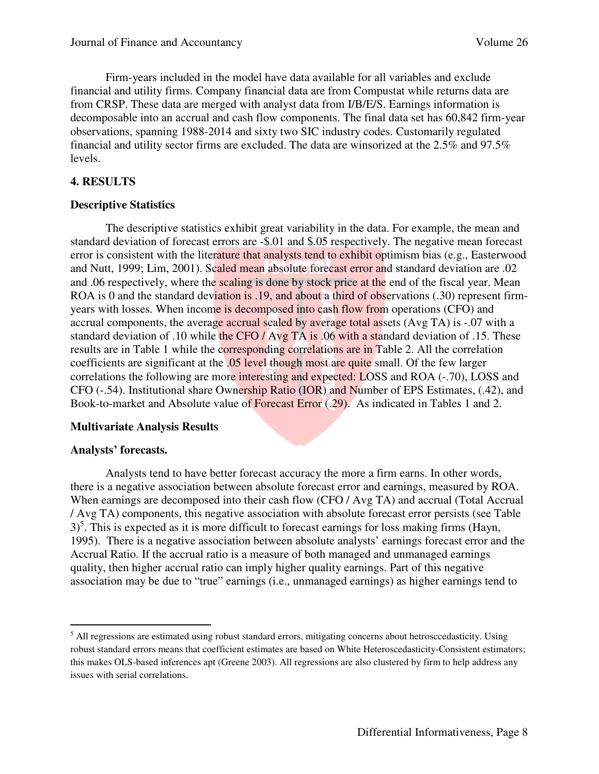Firm-years included in the model have data available for all variables and exclude financial and utility firms. Company financial data are from Compustat while returns data are from CRSP. These data are merged with analyst data from I/B/E/S. Earnings information is decomposable into an accrual and cash flow components. The final data set has 60,842 firm-year observations, spanning 1988-2014 and sixty two SIC industry codes. Customarily regulated financial and utility sector firms are excluded. The data are winsorized at the 2.5% and 97.5% levels.

#### **4. RESULTS**

#### **Descriptive Statistics**

The descriptive statistics exhibit great variability in the data. For example, the mean and standard deviation of forecast errors are -\$.01 and \$.05 respectively. The negative mean forecast error is consistent with the literature that analysts tend to exhibit optimism bias (e.g., Easterwood and Nutt, 1999; Lim, 2001). Scaled mean absolute forecast error and standard deviation are .02 and .06 respectively, where the scaling is done by stock price at the end of the fiscal year. Mean ROA is 0 and the standard deviation is .19, and about a third of observations (.30) represent firmyears with losses. When income is decomposed into cash flow from operations (CFO) and accrual components, the average accrual scaled by average total assets (Avg TA) is -.07 with a standard deviation of .10 while the CFO / Avg TA is .06 with a standard deviation of .15. These results are in Table 1 while the corresponding correlations are in Table 2. All the correlation coefficients are significant at the .05 level though most are quite small. Of the few larger correlations the following are more interesting and expected: LOSS and ROA (-.70), LOSS and CFO (-.54). Institutional share Ownership Ratio (IOR) and Number of EPS Estimates, (.42), and Book-to-market and Absolute value of Forecast Error (.29). As indicated in Tables 1 and 2.

#### **Multivariate Analysis Results**

#### **Analysts' forecasts.**

 $\overline{a}$ 

Analysts tend to have better forecast accuracy the more a firm earns. In other words, there is a negative association between absolute forecast error and earnings, measured by ROA. When earnings are decomposed into their cash flow (CFO / Avg TA) and accrual (Total Accrual / Avg TA) components, this negative association with absolute forecast error persists (see Table  $3$ <sup>5</sup>. This is expected as it is more difficult to forecast earnings for loss making firms (Hayn, 1995). There is a negative association between absolute analysts' earnings forecast error and the Accrual Ratio. If the accrual ratio is a measure of both managed and unmanaged earnings quality, then higher accrual ratio can imply higher quality earnings. Part of this negative association may be due to "true" earnings (i.e., unmanaged earnings) as higher earnings tend to

<sup>&</sup>lt;sup>5</sup> All regressions are estimated using robust standard errors, mitigating concerns about hetrosccedasticity. Using robust standard errors means that coefficient estimates are based on White Heteroscedasticity-Consistent estimators; this makes OLS-based inferences apt (Greene 2003). All regressions are also clustered by firm to help address any issues with serial correlations.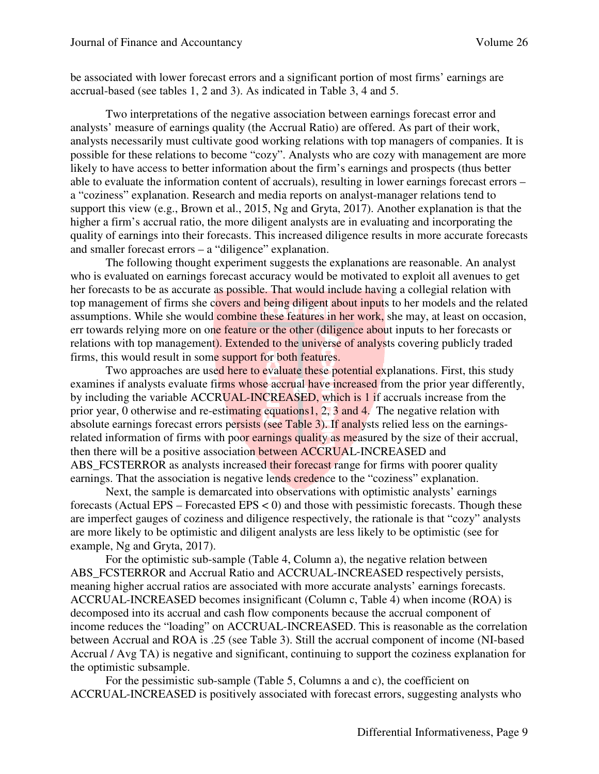be associated with lower forecast errors and a significant portion of most firms' earnings are accrual-based (see tables 1, 2 and 3). As indicated in Table 3, 4 and 5.

Two interpretations of the negative association between earnings forecast error and analysts' measure of earnings quality (the Accrual Ratio) are offered. As part of their work, analysts necessarily must cultivate good working relations with top managers of companies. It is possible for these relations to become "cozy". Analysts who are cozy with management are more likely to have access to better information about the firm's earnings and prospects (thus better able to evaluate the information content of accruals), resulting in lower earnings forecast errors – a "coziness" explanation. Research and media reports on analyst-manager relations tend to support this view (e.g., Brown et al., 2015, Ng and Gryta, 2017). Another explanation is that the higher a firm's accrual ratio, the more diligent analysts are in evaluating and incorporating the quality of earnings into their forecasts. This increased diligence results in more accurate forecasts and smaller forecast errors – a "diligence" explanation.

The following thought experiment suggests the explanations are reasonable. An analyst who is evaluated on earnings forecast accuracy would be motivated to exploit all avenues to get her forecasts to be as accurate as possible. That would include having a collegial relation with top management of firms she covers and being diligent about inputs to her models and the related assumptions. While she would combine these features in her work, she may, at least on occasion, err towards relying more on one feature or the other (diligence about inputs to her forecasts or relations with top management). Extended to the universe of analysts covering publicly traded firms, this would result in some support for both features.

Two approaches are used here to evaluate these potential explanations. First, this study examines if analysts evaluate firms whose accrual have increased from the prior year differently, by including the variable ACCRUAL-INCREASED, which is 1 if accruals increase from the prior year, 0 otherwise and re-estimating equations1, 2, 3 and 4. The negative relation with absolute earnings forecast errors persists (see Table 3). If analysts relied less on the earningsrelated information of firms with poor earnings quality as measured by the size of their accrual, then there will be a positive association between ACCRUAL-INCREASED and ABS\_FCSTERROR as analysts increased their forecast range for firms with poorer quality earnings. That the association is negative lends credence to the "coziness" explanation.

Next, the sample is demarcated into observations with optimistic analysts' earnings forecasts (Actual EPS – Forecasted EPS  $< 0$ ) and those with pessimistic forecasts. Though these are imperfect gauges of coziness and diligence respectively, the rationale is that "cozy" analysts are more likely to be optimistic and diligent analysts are less likely to be optimistic (see for example, Ng and Gryta, 2017).

For the optimistic sub-sample (Table 4, Column a), the negative relation between ABS\_FCSTERROR and Accrual Ratio and ACCRUAL-INCREASED respectively persists, meaning higher accrual ratios are associated with more accurate analysts' earnings forecasts. ACCRUAL-INCREASED becomes insignificant (Column c, Table 4) when income (ROA) is decomposed into its accrual and cash flow components because the accrual component of income reduces the "loading" on ACCRUAL-INCREASED. This is reasonable as the correlation between Accrual and ROA is .25 (see Table 3). Still the accrual component of income (NI-based Accrual / Avg TA) is negative and significant, continuing to support the coziness explanation for the optimistic subsample.

For the pessimistic sub-sample (Table 5, Columns a and c), the coefficient on ACCRUAL-INCREASED is positively associated with forecast errors, suggesting analysts who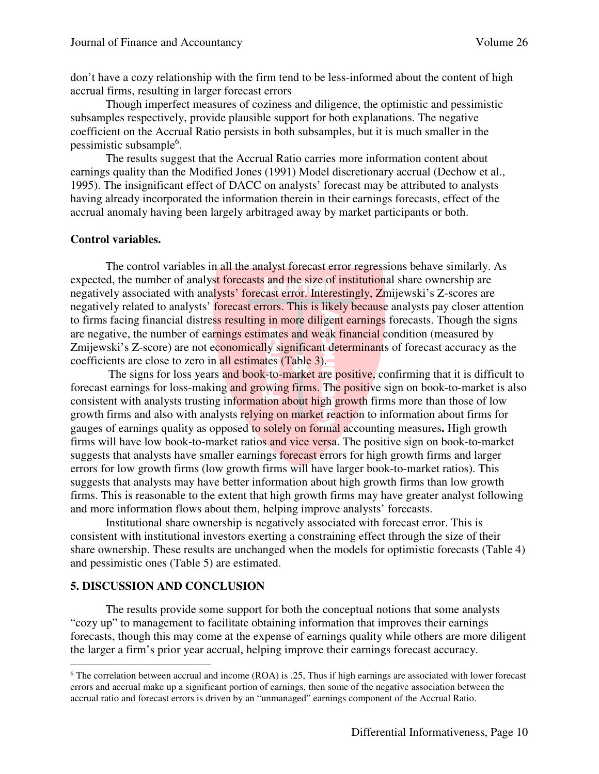don't have a cozy relationship with the firm tend to be less-informed about the content of high accrual firms, resulting in larger forecast errors

Though imperfect measures of coziness and diligence, the optimistic and pessimistic subsamples respectively, provide plausible support for both explanations. The negative coefficient on the Accrual Ratio persists in both subsamples, but it is much smaller in the pessimistic subsample<sup>6</sup>.

The results suggest that the Accrual Ratio carries more information content about earnings quality than the Modified Jones (1991) Model discretionary accrual (Dechow et al., 1995). The insignificant effect of DACC on analysts' forecast may be attributed to analysts having already incorporated the information therein in their earnings forecasts, effect of the accrual anomaly having been largely arbitraged away by market participants or both.

#### **Control variables.**

The control variables in all the analyst forecast error regressions behave similarly. As expected, the number of analyst forecasts and the size of institutional share ownership are negatively associated with analysts' forecast error. Interestingly, Zmijewski's Z-scores are negatively related to analysts' forecast errors. This is likely because analysts pay closer attention to firms facing financial distress resulting in more diligent earnings forecasts. Though the signs are negative, the number of earnings estimates and weak financial condition (measured by Zmijewski's Z-score) are not economically significant determinants of forecast accuracy as the coefficients are close to zero in all estimates (Table 3).

The signs for loss years and book-to-market are positive, confirming that it is difficult to forecast earnings for loss-making and growing firms. The positive sign on book-to-market is also consistent with analysts trusting information about high growth firms more than those of low growth firms and also with analysts relying on market reaction to information about firms for gauges of earnings quality as opposed to solely on formal accounting measures**.** High growth firms will have low book-to-market ratios and vice versa. The positive sign on book-to-market suggests that analysts have smaller earnings forecast errors for high growth firms and larger errors for low growth firms (low growth firms will have larger book-to-market ratios). This suggests that analysts may have better information about high growth firms than low growth firms. This is reasonable to the extent that high growth firms may have greater analyst following and more information flows about them, helping improve analysts' forecasts.

Institutional share ownership is negatively associated with forecast error. This is consistent with institutional investors exerting a constraining effect through the size of their share ownership. These results are unchanged when the models for optimistic forecasts (Table 4) and pessimistic ones (Table 5) are estimated.

#### **5. DISCUSSION AND CONCLUSION**

 $\overline{a}$ 

The results provide some support for both the conceptual notions that some analysts "cozy up" to management to facilitate obtaining information that improves their earnings forecasts, though this may come at the expense of earnings quality while others are more diligent the larger a firm's prior year accrual, helping improve their earnings forecast accuracy.

<sup>&</sup>lt;sup>6</sup> The correlation between accrual and income (ROA) is .25, Thus if high earnings are associated with lower forecast errors and accrual make up a significant portion of earnings, then some of the negative association between the accrual ratio and forecast errors is driven by an "unmanaged" earnings component of the Accrual Ratio.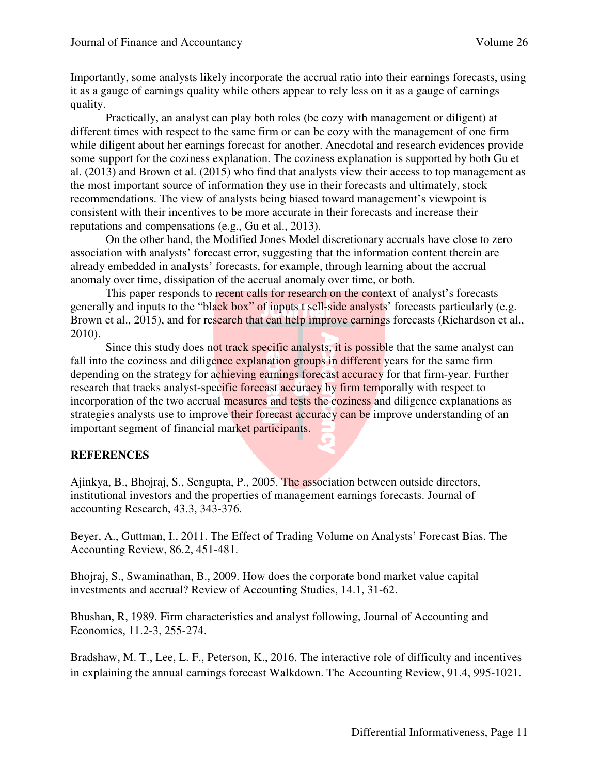Importantly, some analysts likely incorporate the accrual ratio into their earnings forecasts, using it as a gauge of earnings quality while others appear to rely less on it as a gauge of earnings quality.

Practically, an analyst can play both roles (be cozy with management or diligent) at different times with respect to the same firm or can be cozy with the management of one firm while diligent about her earnings forecast for another. Anecdotal and research evidences provide some support for the coziness explanation. The coziness explanation is supported by both Gu et al. (2013) and Brown et al. (2015) who find that analysts view their access to top management as the most important source of information they use in their forecasts and ultimately, stock recommendations. The view of analysts being biased toward management's viewpoint is consistent with their incentives to be more accurate in their forecasts and increase their reputations and compensations (e.g., Gu et al., 2013).

On the other hand, the Modified Jones Model discretionary accruals have close to zero association with analysts' forecast error, suggesting that the information content therein are already embedded in analysts' forecasts, for example, through learning about the accrual anomaly over time, dissipation of the accrual anomaly over time, or both.

This paper responds to recent calls for research on the context of analyst's forecasts generally and inputs to the "black box" of inputs t sell-side analysts' forecasts particularly (e.g. Brown et al., 2015), and for research that can help improve earnings forecasts (Richardson et al., 2010).

Since this study does not track specific analysts, it is possible that the same analyst can fall into the coziness and diligence explanation groups in different years for the same firm depending on the strategy for achieving earnings forecast accuracy for that firm-year. Further research that tracks analyst-specific forecast accuracy by firm temporally with respect to incorporation of the two accrual measures and tests the coziness and diligence explanations as strategies analysts use to improve their forecast accuracy can be improve understanding of an important segment of financial market participants.

#### **REFERENCES**

Ajinkya, B., Bhojraj, S., Sengupta, P., 2005. The association between outside directors, institutional investors and the properties of management earnings forecasts. Journal of accounting Research, 43.3, 343-376.

Beyer, A., Guttman, I., 2011. The Effect of Trading Volume on Analysts' Forecast Bias. The Accounting Review, 86.2, 451-481.

Bhojraj, S., Swaminathan, B., 2009. How does the corporate bond market value capital investments and accrual? Review of Accounting Studies, 14.1, 31-62.

Bhushan, R, 1989. Firm characteristics and analyst following, Journal of Accounting and Economics, 11.2-3, 255-274.

Bradshaw, M. T., Lee, L. F., Peterson, K., 2016. The interactive role of difficulty and incentives in explaining the annual earnings forecast Walkdown. The Accounting Review, 91.4, 995-1021.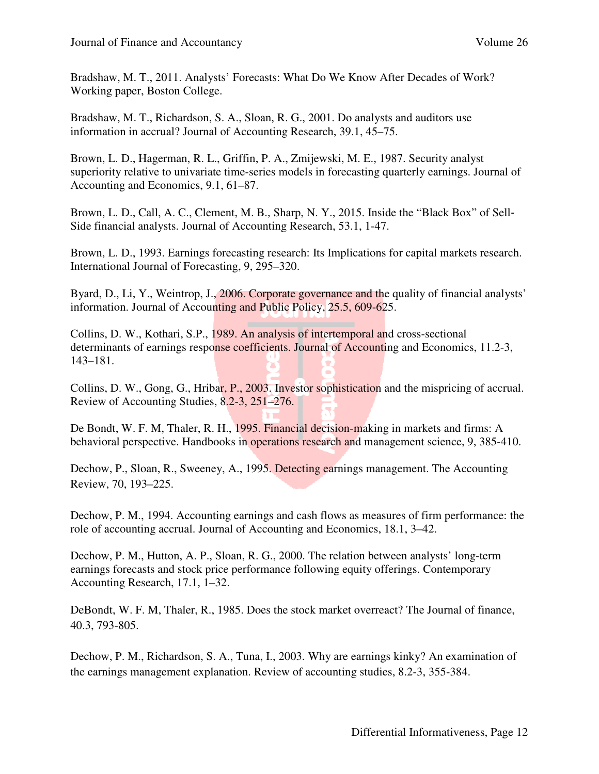Bradshaw, M. T., 2011. Analysts' Forecasts: What Do We Know After Decades of Work? Working paper, Boston College.

Bradshaw, M. T., Richardson, S. A., Sloan, R. G., 2001. Do analysts and auditors use information in accrual? Journal of Accounting Research, 39.1, 45–75.

Brown, L. D., Hagerman, R. L., Griffin, P. A., Zmijewski, M. E., 1987. Security analyst superiority relative to univariate time-series models in forecasting quarterly earnings. Journal of Accounting and Economics, 9.1, 61–87.

Brown, L. D., Call, A. C., Clement, M. B., Sharp, N. Y., 2015. Inside the "Black Box" of Sell-Side financial analysts. Journal of Accounting Research, 53.1, 1-47.

Brown, L. D., 1993. Earnings forecasting research: Its Implications for capital markets research. International Journal of Forecasting, 9, 295–320.

Byard, D., Li, Y., Weintrop, J., 2006. Corporate governance and the quality of financial analysts' information. Journal of Accounting and Public Policy, 25.5, 609-625.

Collins, D. W., Kothari, S.P., 1989. An analysis of intertemporal and cross-sectional determinants of earnings response coefficients. Journal of Accounting and Economics, 11.2-3, 143–181.

Collins, D. W., Gong, G., Hribar, P., 2003. Investor sophistication and the mispricing of accrual. Review of Accounting Studies, 8.2-3, 251–276.

De Bondt, W. F. M, Thaler, R. H., 1995. Financial decision-making in markets and firms: A behavioral perspective. Handbooks in operations research and management science, 9, 385-410.

Dechow, P., Sloan, R., Sweeney, A., 1995. Detecting earnings management. The Accounting Review, 70, 193–225.

Dechow, P. M., 1994. Accounting earnings and cash flows as measures of firm performance: the role of accounting accrual. Journal of Accounting and Economics, 18.1, 3–42.

Dechow, P. M., Hutton, A. P., Sloan, R. G., 2000. The relation between analysts' long-term earnings forecasts and stock price performance following equity offerings. Contemporary Accounting Research, 17.1, 1–32.

DeBondt, W. F. M, Thaler, R., 1985. Does the stock market overreact? The Journal of finance, 40.3, 793-805.

Dechow, P. M., Richardson, S. A., Tuna, I., 2003. Why are earnings kinky? An examination of the earnings management explanation. Review of accounting studies, 8.2-3, 355-384.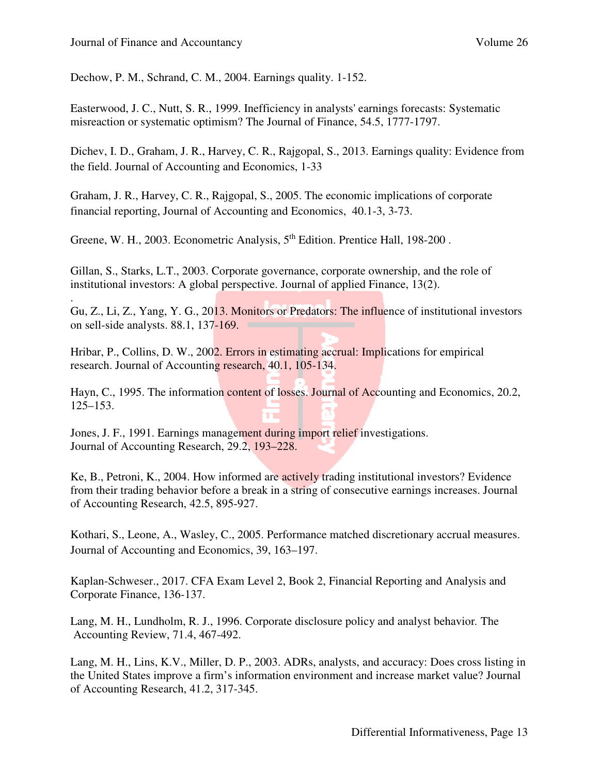Dechow, P. M., Schrand, C. M., 2004. Earnings quality. 1-152.

Easterwood, J. C., Nutt, S. R., 1999. Inefficiency in analysts' earnings forecasts: Systematic misreaction or systematic optimism? The Journal of Finance, 54.5, 1777-1797.

Dichev, I. D., Graham, J. R., Harvey, C. R., Rajgopal, S., 2013. Earnings quality: Evidence from the field. Journal of Accounting and Economics, 1-33

Graham, J. R., Harvey, C. R., Rajgopal, S., 2005. The economic implications of corporate financial reporting, Journal of Accounting and Economics, 40.1-3, 3-73.

Greene, W. H., 2003. Econometric Analysis, 5<sup>th</sup> Edition. Prentice Hall, 198-200.

Gillan, S., Starks, L.T., 2003. Corporate governance, corporate ownership, and the role of institutional investors: A global perspective. Journal of applied Finance, 13(2).

. Gu, Z., Li, Z., Yang, Y. G., 2013. Monitors or Predators: The influence of institutional investors on sell-side analysts. 88.1, 137-169.

Hribar, P., Collins, D. W., 2002. Errors in estimating accrual: Implications for empirical research. Journal of Accounting research, 40.1, 105-134.

Hayn, C., 1995. The information content of losses. Journal of Accounting and Economics, 20.2, 125–153.

Jones, J. F., 1991. Earnings management during import relief investigations. Journal of Accounting Research, 29.2, 193–228.

Ke, B., Petroni, K., 2004. How informed are actively trading institutional investors? Evidence from their trading behavior before a break in a string of consecutive earnings increases. Journal of Accounting Research, 42.5, 895-927.

Kothari, S., Leone, A., Wasley, C., 2005. Performance matched discretionary accrual measures. Journal of Accounting and Economics, 39, 163–197.

Kaplan-Schweser., 2017. CFA Exam Level 2, Book 2, Financial Reporting and Analysis and Corporate Finance, 136-137.

Lang, M. H., Lundholm, R. J., 1996. Corporate disclosure policy and analyst behavior*.* The Accounting Review, 71.4, 467-492.

Lang, M. H., Lins, K.V., Miller, D. P., 2003. ADRs, analysts, and accuracy: Does cross listing in the United States improve a firm's information environment and increase market value? Journal of Accounting Research, 41.2, 317-345.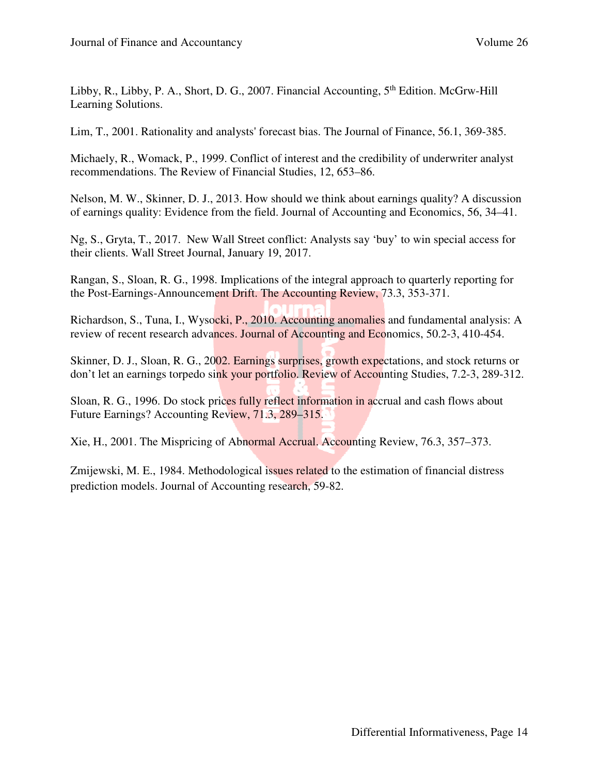Libby, R., Libby, P. A., Short, D. G., 2007. Financial Accounting, 5<sup>th</sup> Edition. McGrw-Hill Learning Solutions.

Lim, T., 2001. Rationality and analysts' forecast bias. The Journal of Finance, 56.1, 369-385.

Michaely, R., Womack, P., 1999. Conflict of interest and the credibility of underwriter analyst recommendations. The Review of Financial Studies, 12, 653–86.

Nelson, M. W., Skinner, D. J., 2013. How should we think about earnings quality? A discussion of earnings quality: Evidence from the field. Journal of Accounting and Economics, 56, 34–41.

Ng, S., Gryta, T., 2017. New Wall Street conflict: Analysts say 'buy' to win special access for their clients. Wall Street Journal, January 19, 2017.

Rangan, S., Sloan, R. G., 1998. Implications of the integral approach to quarterly reporting for the Post-Earnings-Announcement Drift. The Accounting Review, 73.3, 353-371.

Richardson, S., Tuna, I., Wysocki, P., 2010. Accounting anomalies and fundamental analysis: A review of recent research advances. Journal of Accounting and Economics, 50.2-3, 410-454.

Skinner, D. J., Sloan, R. G., 2002. Earnings surprises, growth expectations, and stock returns or don't let an earnings torpedo sink your portfolio. Review of Accounting Studies, 7.2-3, 289-312.

Sloan, R. G., 1996. Do stock prices fully reflect information in accrual and cash flows about Future Earnings? Accounting Review, 71.3, 289–315.

Xie, H., 2001. The Mispricing of Abnormal Accrual. Accounting Review, 76.3, 357–373.

Zmijewski, M. E., 1984. Methodological issues related to the estimation of financial distress prediction models. Journal of Accounting research, 59-82.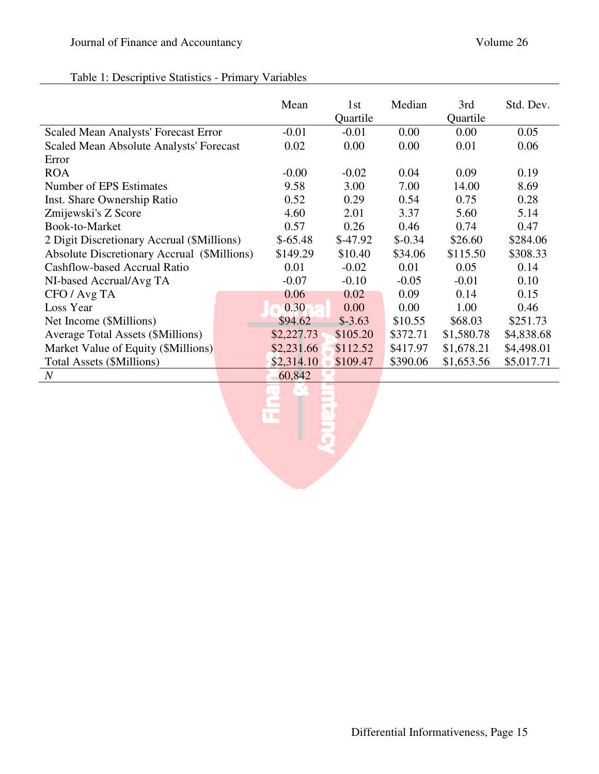### Table 1: Descriptive Statistics - Primary Variables

|                                             |  | Mean       | 1 <sub>st</sub><br>Quartile | Median   | 3rd<br>Quartile | Std. Dev.  |
|---------------------------------------------|--|------------|-----------------------------|----------|-----------------|------------|
| Scaled Mean Analysts' Forecast Error        |  | $-0.01$    | $-0.01$                     | 0.00     | 0.00            | 0.05       |
| Scaled Mean Absolute Analysts' Forecast     |  | 0.02       | 0.00                        | 0.00     | 0.01            | 0.06       |
| Error                                       |  |            |                             |          |                 |            |
| <b>ROA</b>                                  |  | $-0.00$    | $-0.02$                     | 0.04     | 0.09            | 0.19       |
| Number of EPS Estimates                     |  | 9.58       | 3.00                        | 7.00     | 14.00           | 8.69       |
| Inst. Share Ownership Ratio                 |  | 0.52       | 0.29                        | 0.54     | 0.75            | 0.28       |
| Zmijewski's Z Score                         |  | 4.60       | 2.01                        | 3.37     | 5.60            | 5.14       |
| Book-to-Market                              |  | 0.57       | 0.26                        | 0.46     | 0.74            | 0.47       |
| 2 Digit Discretionary Accrual (\$Millions)  |  | $$-65.48$  | $$-47.92$                   | $$-0.34$ | \$26.60         | \$284.06   |
| Absolute Discretionary Accrual (\$Millions) |  | \$149.29   | \$10.40                     | \$34.06  | \$115.50        | \$308.33   |
| Cashflow-based Accrual Ratio                |  | 0.01       | $-0.02$                     | 0.01     | 0.05            | 0.14       |
| NI-based Accrual/Avg TA                     |  | $-0.07$    | $-0.10$                     | $-0.05$  | $-0.01$         | 0.10       |
| CFO / Avg TA                                |  | 0.06       | 0.02                        | 0.09     | 0.14            | 0.15       |
| Loss Year                                   |  | 0.30       | 0.00                        | 0.00     | 1.00            | 0.46       |
| Net Income (\$Millions)                     |  | \$94.62    | $$-3.63$                    | \$10.55  | \$68.03         | \$251.73   |
| Average Total Assets (\$Millions)           |  | \$2,227.73 | \$105.20                    | \$372.71 | \$1,580.78      | \$4,838.68 |
| Market Value of Equity (\$Millions)         |  | \$2,231.66 | \$112.52                    | \$417.97 | \$1,678.21      | \$4,498.01 |
| <b>Total Assets (\$Millions)</b>            |  | \$2,314.10 | \$109.47                    | \$390.06 | \$1,653.56      | \$5,017.71 |
| $\mathcal N$                                |  | 60,842     |                             |          |                 |            |
|                                             |  |            |                             |          |                 |            |
|                                             |  | T.         |                             |          |                 |            |
|                                             |  |            |                             |          |                 |            |
|                                             |  |            |                             |          |                 |            |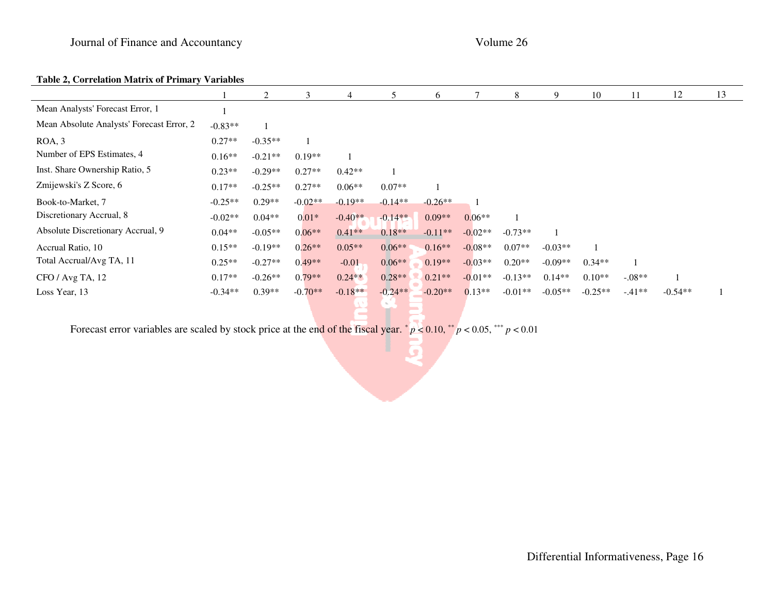### Journal of Finance and Accountancy Volume 26

#### **Table 2, Correlation Matrix of Primary Variables**

|                                           |           | 2         | 3         | 4         |           | 6         |           | 8         | 9         | 10        | 11       | 12        | 13 |
|-------------------------------------------|-----------|-----------|-----------|-----------|-----------|-----------|-----------|-----------|-----------|-----------|----------|-----------|----|
| Mean Analysts' Forecast Error, 1          |           |           |           |           |           |           |           |           |           |           |          |           |    |
| Mean Absolute Analysts' Forecast Error, 2 | $-0.83**$ |           |           |           |           |           |           |           |           |           |          |           |    |
| ROA, 3                                    | $0.27**$  | $-0.35**$ |           |           |           |           |           |           |           |           |          |           |    |
| Number of EPS Estimates, 4                | $0.16**$  | $-0.21**$ | $0.19**$  |           |           |           |           |           |           |           |          |           |    |
| Inst. Share Ownership Ratio, 5            | $0.23**$  | $-0.29**$ | $0.27**$  | $0.42**$  |           |           |           |           |           |           |          |           |    |
| Zmijewski's Z Score, 6                    | $0.17**$  | $-0.25**$ | $0.27**$  | $0.06**$  | $0.07**$  |           |           |           |           |           |          |           |    |
| Book-to-Market, 7                         | $-0.25**$ | $0.29**$  | $-0.02**$ | $-0.19**$ | $-0.14**$ | $-0.26**$ |           |           |           |           |          |           |    |
| Discretionary Accrual, 8                  | $-0.02**$ | $0.04**$  | $0.01*$   | $-0.40**$ | $-0.14**$ | $0.09**$  | $0.06**$  |           |           |           |          |           |    |
| Absolute Discretionary Accrual, 9         | $0.04**$  | $-0.05**$ | $0.06**$  | $0.41**$  | $0.18**$  | $-0.11**$ | $-0.02**$ | $-0.73**$ |           |           |          |           |    |
| Accrual Ratio, 10                         | $0.15**$  | $-0.19**$ | $0.26**$  | $0.05**$  | $0.06**$  | $0.16**$  | $-0.08**$ | $0.07**$  | $-0.03**$ |           |          |           |    |
| Total Accrual/Avg TA, 11                  | $0.25**$  | $-0.27**$ | $0.49**$  | $-0.01$   | $0.06**$  | $0.19**$  | $-0.03**$ | $0.20**$  | $-0.09**$ | $0.34**$  |          |           |    |
| CFO / Avg TA, 12                          | $0.17**$  | $-0.26**$ | $0.79**$  | $0.24**$  | $0.28**$  | $0.21**$  | $-0.01**$ | $-0.13**$ | $0.14**$  | $0.10**$  | $-.08**$ |           |    |
| Loss Year, 13                             | $-0.34**$ | $0.39**$  | $-0.70**$ | $-0.18**$ | $-0.24**$ | $-0.20**$ | $0.13**$  | $-0.01**$ | $-0.05**$ | $-0.25**$ | $-41**$  | $-0.54**$ |    |

Forecast error variables are scaled by stock price at the end of the fiscal year. \* *<sup>p</sup>* < 0.10, \*\* *<sup>p</sup>* < 0.05, \*\*\* *p* < 0.01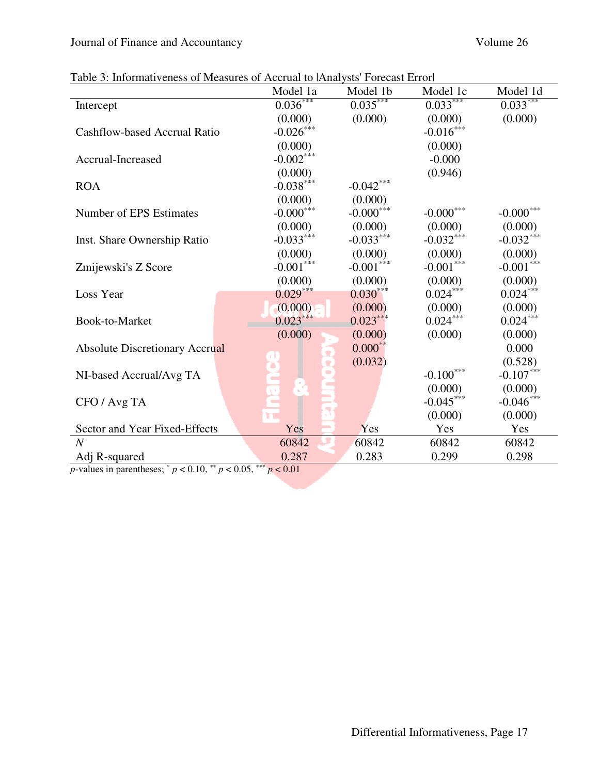|  |  | Table 3: Informativeness of Measures of Accrual to <i>Analysts'</i> Forecast Error |
|--|--|------------------------------------------------------------------------------------|
|  |  |                                                                                    |

|                                       | Model 1a    | Model 1b    | Model 1c    | Model 1d                    |
|---------------------------------------|-------------|-------------|-------------|-----------------------------|
| Intercept                             | $0.036***$  | $0.035***$  | $0.033***$  | $0.033***$                  |
|                                       | (0.000)     | (0.000)     | (0.000)     | (0.000)                     |
| <b>Cashflow-based Accrual Ratio</b>   | $-0.026***$ |             | $-0.016***$ |                             |
|                                       | (0.000)     |             | (0.000)     |                             |
| Accrual-Increased                     | $-0.002***$ |             | $-0.000$    |                             |
|                                       | (0.000)     |             | (0.946)     |                             |
| <b>ROA</b>                            | $-0.038***$ | $-0.042***$ |             |                             |
|                                       | (0.000)     | (0.000)     |             |                             |
| Number of EPS Estimates               | $-0.000***$ | $-0.000***$ | $-0.000***$ | $\textnormal{-0.000}^{***}$ |
|                                       | (0.000)     | (0.000)     | (0.000)     | (0.000)                     |
| Inst. Share Ownership Ratio           | $-0.033***$ | $-0.033***$ | $-0.032***$ | $-0.032***$                 |
|                                       | (0.000)     | (0.000)     | (0.000)     | (0.000)                     |
| Zmijewski's Z Score                   | $-0.001***$ | $-0.001***$ | $-0.001***$ | $-0.001***$                 |
|                                       | (0.000)     | (0.000)     | (0.000)     | (0.000)                     |
| Loss Year                             | $0.029***$  | $0.030***$  | $0.024***$  | $0.024***$                  |
|                                       | (0.000)     | (0.000)     | (0.000)     | (0.000)                     |
| Book-to-Market                        | $0.023***$  | $0.023***$  | $0.024***$  | $0.024***$                  |
|                                       | (0.000)     | (0.000)     | (0.000)     | (0.000)                     |
| <b>Absolute Discretionary Accrual</b> |             | $0.000***$  |             | 0.000                       |
|                                       | o           | (0.032)     |             | (0.528)                     |
| NI-based Accrual/Avg TA               | o           |             | $-0.100***$ | $-0.107***$                 |
|                                       |             |             | (0.000)     | (0.000)                     |
| CFO / Avg TA                          |             |             | $-0.045***$ | $-0.046***$                 |
|                                       |             |             | (0.000)     | (0.000)                     |
| Sector and Year Fixed-Effects         | Yes         | Yes         | Yes         | Yes                         |
| $\overline{N}$                        | 60842       | 60842       | 60842       | 60842                       |
| Adj R-squared                         | 0.287       | 0.283       | 0.299       | 0.298                       |

*p*-values in parentheses;  $p < 0.10$ ,  $p < 0.05$ ,  $p < 0.01$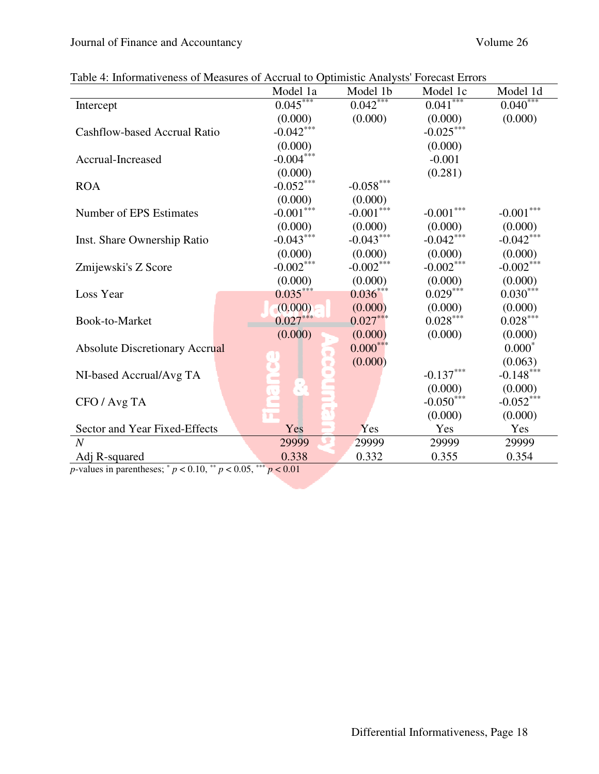| <b>1. Informativeness of measures of receival to Optimistic rinarysts Torceast Enforc</b> | Model 1a    | Model 1b                         | Model 1c               | Model 1d                         |
|-------------------------------------------------------------------------------------------|-------------|----------------------------------|------------------------|----------------------------------|
| Intercept                                                                                 | $0.045***$  | $0.042***$                       | $0.041***$             | $0.040***$                       |
|                                                                                           | (0.000)     | (0.000)                          | (0.000)                | (0.000)                          |
| Cashflow-based Accrual Ratio                                                              | $-0.042***$ |                                  | $-0.025***$            |                                  |
|                                                                                           | (0.000)     |                                  | (0.000)                |                                  |
| Accrual-Increased                                                                         | $-0.004***$ |                                  | $-0.001$               |                                  |
|                                                                                           | (0.000)     |                                  | (0.281)                |                                  |
| <b>ROA</b>                                                                                | $-0.052***$ | $\textbf{-0.058}^{\ast\ast\ast}$ |                        |                                  |
|                                                                                           | (0.000)     | (0.000)                          |                        |                                  |
| Number of EPS Estimates                                                                   | $-0.001***$ | $-0.001***$                      | $-0.001***$            | $\textbf{-0.001}^{\ast\ast\ast}$ |
|                                                                                           | (0.000)     | (0.000)                          | (0.000)                | (0.000)                          |
| Inst. Share Ownership Ratio                                                               | $-0.043***$ | $-0.043***$                      | $-0.042***$            | $-0.042***$                      |
|                                                                                           | (0.000)     | (0.000)                          | (0.000)                | (0.000)                          |
| Zmijewski's Z Score                                                                       | $-0.002***$ | $-0.002***$                      | $-0.002***$            | $-0.002***$                      |
|                                                                                           | (0.000)     | (0.000)                          | (0.000)                | (0.000)                          |
| Loss Year                                                                                 | $0.035***$  | $0.036***$                       | $0.029***$             | $0.030^{\ast\ast\ast}$           |
|                                                                                           | (0.000)     | (0.000)                          | (0.000)                | (0.000)                          |
| Book-to-Market                                                                            | $0.027***$  | $0.027***$                       | $0.028^{\ast\ast\ast}$ | $0.028***$                       |
|                                                                                           | (0.000)     | (0.000)                          | (0.000)                | (0.000)                          |
| <b>Absolute Discretionary Accrual</b>                                                     |             | $0.000***$                       |                        | $0.000*$                         |
|                                                                                           |             | (0.000)                          |                        | (0.063)                          |
| NI-based Accrual/Avg TA                                                                   | o           |                                  | $-0.137***$            | $-0.148***$                      |
|                                                                                           |             |                                  | (0.000)                | (0.000)                          |
| CFO / Avg TA                                                                              |             |                                  | $-0.050***$            | $-0.052***$                      |
|                                                                                           |             |                                  | (0.000)                | (0.000)                          |
| Sector and Year Fixed-Effects                                                             | Yes         | Yes                              | Yes                    | Yes                              |
| $\overline{N}$                                                                            | 29999       | 29999                            | 29999                  | 29999                            |
| Adj R-squared                                                                             | 0.338       | 0.332                            | 0.355                  | 0.354                            |
| <i>p</i> -values in parentheses; $^* p < 0.10$ , $^{**} p < 0.05$ , $^{***} p < 0.01$     |             |                                  |                        |                                  |

Table 4: Informativeness of Measures of Accrual to Optimistic Analysts' Forecast Errors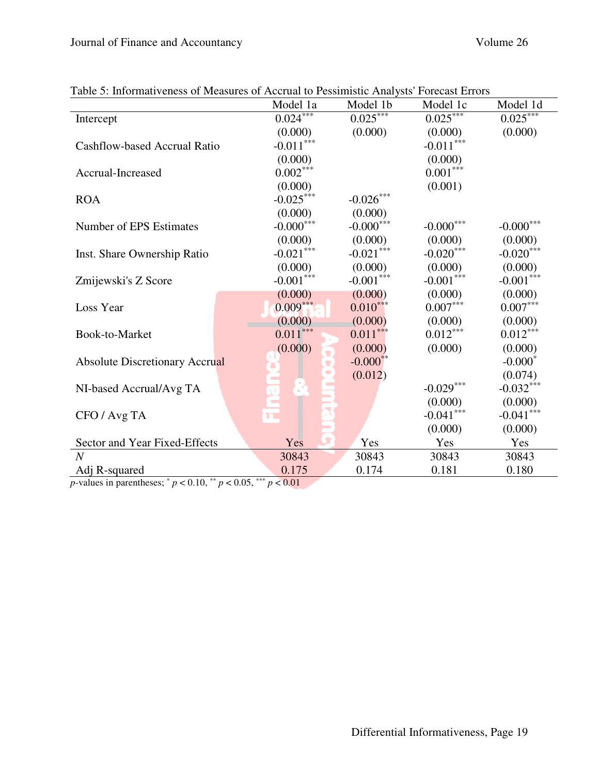|                                       | Model 1a        | Model 1b               | Model 1c          | Model 1d                             |
|---------------------------------------|-----------------|------------------------|-------------------|--------------------------------------|
| Intercept                             | $0.024***$      | $0.025***$             | $0.025***$        | $0.025***$                           |
|                                       | (0.000)         | (0.000)                | (0.000)           | (0.000)                              |
| <b>Cashflow-based Accrual Ratio</b>   | $-0.011***$     |                        | $-0.011***$       |                                      |
|                                       | (0.000)         |                        | (0.000)           |                                      |
| Accrual-Increased                     | $0.002^{***}\,$ |                        | $0.001\mbox{***}$ |                                      |
|                                       | (0.000)         |                        | (0.001)           |                                      |
| <b>ROA</b>                            | $-0.025***$     | $-0.026***$            |                   |                                      |
|                                       | (0.000)         | (0.000)                |                   |                                      |
| Number of EPS Estimates               | $-0.000***$     | $-0.000***$            | $-0.000***$       | $\textnormal{-0.000}^{\ast\ast\ast}$ |
|                                       | (0.000)         | (0.000)                | (0.000)           | (0.000)                              |
| Inst. Share Ownership Ratio           | $-0.021***$     | $-0.021***$            | $-0.020***$       | $-0.020***$                          |
|                                       | (0.000)         | (0.000)                | (0.000)           | (0.000)                              |
| Zmijewski's Z Score                   | $-0.001***$     | $-0.001***$            | $-0.001***$       | $-0.001***$                          |
|                                       | (0.000)         | (0.000)                | (0.000)           | (0.000)                              |
| Loss Year                             | $0.009***$      | $0.010***$             | $0.007***$        | $0.007***$                           |
|                                       | (0.000)         | (0.000)                | (0.000)           | (0.000)                              |
| Book-to-Market                        | $0.011***$      | $0.011***$             | $0.012***$        | $0.012***$                           |
|                                       | (0.000)         | (0.000)                | (0.000)           | (0.000)                              |
| <b>Absolute Discretionary Accrual</b> | O               | $-0.000$ <sup>**</sup> |                   | $-0.000*$                            |
|                                       | ÷               | (0.012)                |                   | (0.074)                              |
| NI-based Accrual/Avg TA               |                 |                        | $-0.029***$       | $-0.032***$                          |
|                                       | e i             |                        | (0.000)           | (0.000)                              |
| CFO / Avg TA                          | Ñ<br>'n.        |                        | $-0.041***$       | $-0.041***$                          |
|                                       |                 |                        | (0.000)           | (0.000)                              |
| Sector and Year Fixed-Effects         | S)<br>Yes       | Yes                    | Yes               | Yes                                  |
| $\overline{N}$                        | 30843           | 30843                  | 30843             | 30843                                |
| Adj R-squared                         | 0.175           | 0.174                  | 0.181             | 0.180                                |

Table 5: Informativeness of Measures of Accrual to Pessimistic Analysts' Forecast Errors

*p*-values in parentheses; \* *p* < 0.10, \*\* *p* < 0.05, \*\*\* *p* < 0.01